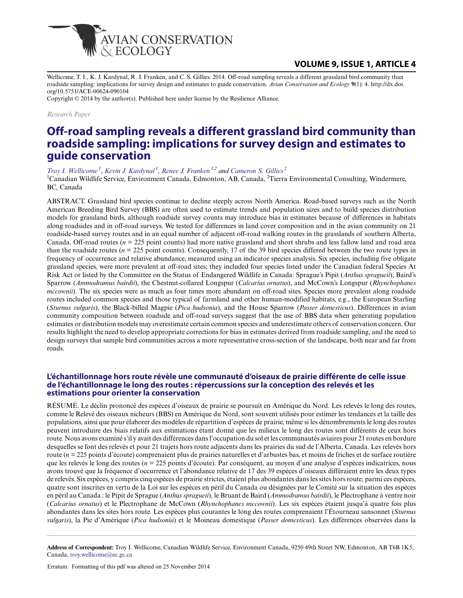

# **VOLUME 9, ISSUE 1, ARTICLE 4**

Wellicome, T. I., K. J. Kardynal, R. J. Franken, and C. S. Gillies. 2014. Off-road sampling reveals a different grassland bird community than roadside sampling: implications for survey design and estimates to guide conservation. *Avian Conservation and Ecology* **9**(1): 4. http://dx.doi. org/10.5751/ACE-00624-090104

Copyright © 2014 by the author(s). Published here under license by the Resilience Alliance.

*Research Paper*

# **Off-road sampling reveals a different grassland bird community than roadside sampling: implications for survey design and estimates to guide conservation**

*Troy I. Wellicome<sup>1</sup>* , *Kevin J. Kardynal<sup>1</sup>* , *Renee J. Franken 1,2 and Cameron S. Gillies<sup>2</sup>*

<sup>1</sup>Canadian Wildlife Service, Environment Canada, Edmonton, AB, Canada, <sup>2</sup>Tierra Environmental Consulting, Windermere, BC, Canada

ABSTRACT. Grassland bird species continue to decline steeply across North America. Road-based surveys such as the North American Breeding Bird Survey (BBS) are often used to estimate trends and population sizes and to build species distribution models for grassland birds, although roadside survey counts may introduce bias in estimates because of differences in habitats along roadsides and in off-road surveys. We tested for differences in land cover composition and in the avian community on 21 roadside-based survey routes and in an equal number of adjacent off-road walking routes in the grasslands of southern Alberta, Canada. Off-road routes (*n* = 225 point counts) had more native grassland and short shrubs and less fallow land and road area than the roadside routes ( $n = 225$  point counts). Consequently, 17 of the 39 bird species differed between the two route types in frequency of occurrence and relative abundance, measured using an indicator species analysis. Six species, including five obligate grassland species, were more prevalent at off-road sites; they included four species listed under the Canadian federal Species At Risk Act or listed by the Committee on the Status of Endangered Wildlife in Canada: Sprague's Pipit (*Anthus spragueii*), Baird's Sparrow (*Ammodramus bairdii*), the Chestnut-collared Longspur (*Calcarius ornatus*), and McCown's Longspur (*Rhynchophanes mccownii*). The six species were as much as four times more abundant on off-road sites. Species more prevalent along roadside routes included common species and those typical of farmland and other human-modified habitats, e.g., the European Starling (*Sturnus vulgaris*), the Black-billed Magpie (*Pica hudsonia*), and the House Sparrow (*Passer domesticus*). Differences in avian community composition between roadside and off-road surveys suggest that the use of BBS data when generating population estimates or distribution models may overestimate certain common species and underestimate others of conservation concern. Our results highlight the need to develop appropriate corrections for bias in estimates derived from roadside sampling, and the need to design surveys that sample bird communities across a more representative cross-section of the landscape, both near and far from roads.

#### **L'échantillonnage hors route révèle une communauté d'oiseaux de prairie différente de celle issue de l'échantillonnage le long des routes : répercussions sur la conception des relevés et les estimations pour orienter la conservation**

RÉSUMÉ. Le déclin prononcé des espèces d'oiseaux de prairie se poursuit en Amérique du Nord. Les relevés le long des routes, comme le Relevé des oiseaux nicheurs (BBS) en Amérique du Nord, sont souvent utilisés pour estimer les tendances et la taille des populations, ainsi que pour élaborer des modèles de répartition d'espèces de prairie, même si les dénombrements le long des routes peuvent introduire des biais relatifs aux estimations étant donné que les milieux le long des routes sont différents de ceux hors route. Nous avons examiné s'il y avait des différences dans l'occupation du sol et les communautés aviaires pour 21 routes en bordure desquelles se font des relevés et pour 21 trajets hors route adjacents dans les prairies du sud de l'Alberta, Canada. Les relevés hors route (*n* = 225 points d'écoute) comprenaient plus de prairies naturelles et d'arbustes bas, et moins de friches et de surface routière que les relevés le long des routes (*n* = 225 points d'écoute). Par conséquent, au moyen d'une analyse d'espèces indicatrices, nous avons trouvé que la fréquence d'occurrence et l'abondance relative de 17 des 39 espèces d'oiseaux différaient entre les deux types de relevés. Six espèces, y compris cinq espèces de prairie strictes, étaient plus abondantes dans les sites hors route; parmi ces espèces, quatre sont inscrites en vertu de la Loi sur les espèces en péril du Canada ou désignées par le Comité sur la situation des espèces en péril au Canada : le Pipit de Sprague (*Anthus spragueii*), le Bruant de Baird (*Ammodramus bairdii*), le Plectrophane à ventre noir (*Calcarius ornatus*) et le Plectrophane de McCown (*Rhynchophanes mccownii*). Les six espèces étaient jusqu'à quatre fois plus abondantes dans les sites hors route. Les espèces plus courantes le long des routes comprenaient l'Étourneau sansonnet (*Sturnus vulgaris*), la Pie d'Amérique (*Pica hudsonia*) et le Moineau domestique (*Passer domesticus*). Les différences observées dans la

**Address of Correspondent:** Troy I. Wellicome, Canadian Wildlife Service, Environment Canada, 9250 49th Street NW, Edmonton, AB T6B 1K5, Canada, troy.wellicome@ec.gc.ca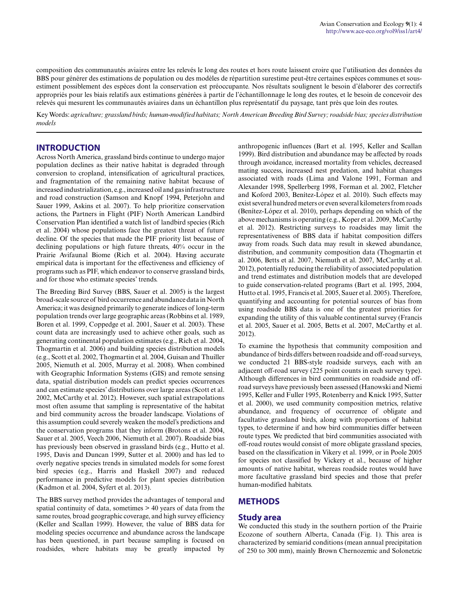composition des communautés aviaires entre les relevés le long des routes et hors route laissent croire que l'utilisation des données du BBS pour générer des estimations de population ou des modèles de répartition surestime peut-être certaines espèces communes et sousestiment possiblement des espèces dont la conservation est préoccupante. Nos résultats soulignent le besoin d'élaborer des correctifs appropriés pour les biais relatifs aux estimations générées à partir de l'échantillonnage le long des routes, et le besoin de concevoir des relevés qui mesurent les communautés aviaires dans un échantillon plus représentatif du paysage, tant près que loin des routes.

Key Words: *agriculture; grassland birds; human-modified habitats; North American Breeding Bird Survey; roadside bias; species distribution models*

### **INTRODUCTION**

Across North America, grassland birds continue to undergo major population declines as their native habitat is degraded through conversion to cropland, intensification of agricultural practices, and fragmentation of the remaining native habitat because of increased industrialization, e.g., increased oil and gas infrastructure and road construction (Samson and Knopf 1994, Peterjohn and Sauer 1999, Askins et al. 2007). To help prioritize conservation actions, the Partners in Flight (PIF) North American Landbird Conservation Plan identified a watch list of landbird species (Rich et al. 2004) whose populations face the greatest threat of future decline. Of the species that made the PIF priority list because of declining populations or high future threats, 40% occur in the Prairie Avifaunal Biome (Rich et al. 2004). Having accurate empirical data is important for the effectiveness and efficiency of programs such as PIF, which endeavor to conserve grassland birds, and for those who estimate species' trends.

The Breeding Bird Survey (BBS, Sauer et al. 2005) is the largest broad-scale source of bird occurrence and abundance data in North America; it was designed primarily to generate indices of long-term population trends over large geographic areas (Robbins et al. 1989, Boren et al. 1999, Coppedge et al. 2001, Sauer et al. 2003). These count data are increasingly used to achieve other goals, such as generating continental population estimates (e.g., Rich et al. 2004, Thogmartin et al. 2006) and building species distribution models (e.g., Scott et al. 2002, Thogmartin et al. 2004, Guisan and Thuiller 2005, Niemuth et al. 2005, Murray et al. 2008). When combined with Geographic Information Systems (GIS) and remote sensing data, spatial distribution models can predict species occurrences and can estimate species' distributions over large areas (Scott et al. 2002, McCarthy et al. 2012). However, such spatial extrapolations most often assume that sampling is representative of the habitat and bird community across the broader landscape. Violations of this assumption could severely weaken the model's predictions and the conservation programs that they inform (Brotons et al. 2004, Sauer et al. 2005, Veech 2006, Niemuth et al. 2007). Roadside bias has previously been observed in grassland birds (e.g., Hutto et al. 1995, Davis and Duncan 1999, Sutter et al. 2000) and has led to overly negative species trends in simulated models for some forest bird species (e.g., Harris and Haskell 2007) and reduced performance in predictive models for plant species distribution (Kadmon et al. 2004, Syfert et al. 2013).

The BBS survey method provides the advantages of temporal and spatial continuity of data, sometimes > 40 years of data from the same routes, broad geographic coverage, and high survey efficiency (Keller and Scallan 1999). However, the value of BBS data for modeling species occurrence and abundance across the landscape has been questioned, in part because sampling is focused on roadsides, where habitats may be greatly impacted by anthropogenic influences (Bart et al. 1995, Keller and Scallan 1999). Bird distribution and abundance may be affected by roads through avoidance, increased mortality from vehicles, decreased mating success, increased nest predation, and habitat changes associated with roads (Lima and Valone 1991, Forman and Alexander 1998, Spellerberg 1998, Forman et al. 2002, Fletcher and Koford 2003, Benítez-López et al. 2010). Such effects may exist several hundred meters or even several kilometers from roads (Benítez-López et al. 2010), perhaps depending on which of the above mechanisms is operating (e.g., Koper et al. 2009, McCarthy et al. 2012). Restricting surveys to roadsides may limit the representativeness of BBS data if habitat composition differs away from roads. Such data may result in skewed abundance, distribution, and community composition data (Thogmartin et al. 2006, Betts et al. 2007, Niemuth et al. 2007, McCarthy et al. 2012), potentially reducing the reliability of associated population and trend estimates and distribution models that are developed to guide conservation-related programs (Bart et al. 1995, 2004, Hutto et al. 1995, Francis et al. 2005, Sauer et al. 2005). Therefore, quantifying and accounting for potential sources of bias from using roadside BBS data is one of the greatest priorities for expanding the utility of this valuable continental survey (Francis et al. 2005, Sauer et al. 2005, Betts et al. 2007, McCarthy et al. 2012).

To examine the hypothesis that community composition and abundance of birds differs between roadside and off-road surveys, we conducted 21 BBS-style roadside surveys, each with an adjacent off-road survey (225 point counts in each survey type). Although differences in bird communities on roadside and offroad surveys have previously been assessed (Hanowski and Niemi 1995, Keller and Fuller 1995, Rotenberry and Knick 1995, Sutter et al. 2000), we used community composition metrics, relative abundance, and frequency of occurrence of obligate and facultative grassland birds, along with proportions of habitat types, to determine if and how bird communities differ between route types. We predicted that bird communities associated with off-road routes would consist of more obligate grassland species, based on the classification in Vikery et al. 1999, or in Poole 2005 for species not classified by Vickery et al., because of higher amounts of native habitat, whereas roadside routes would have more facultative grassland bird species and those that prefer human-modified habitats.

## **METHODS**

### **Study area**

We conducted this study in the southern portion of the Prairie Ecozone of southern Alberta, Canada (Fig. 1). This area is characterized by semiarid conditions (mean annual precipitation of 250 to 300 mm), mainly Brown Chernozemic and Solonetzic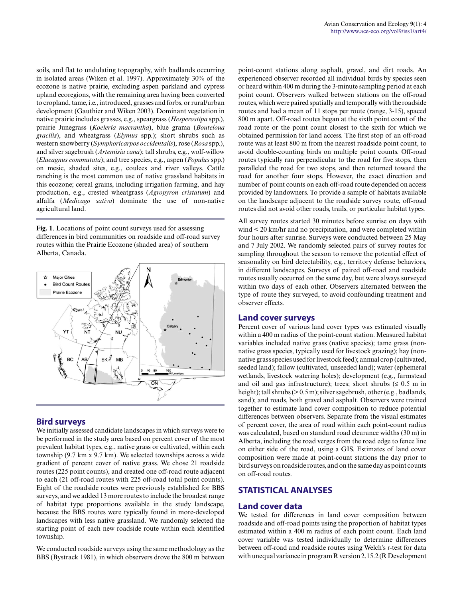soils, and flat to undulating topography, with badlands occurring in isolated areas (Wiken et al. 1997). Approximately 30% of the ecozone is native prairie, excluding aspen parkland and cypress upland ecoregions, with the remaining area having been converted to cropland, tame, i.e., introduced, grasses and forbs, or rural/urban development (Gauthier and Wiken 2003). Dominant vegetation in native prairie includes grasses, e.g., speargrass (*Hesperostipa* spp.), prairie Junegrass (*Koeleria macrantha*), blue grama (*Bouteloua gracilis*), and wheatgrass (*Elymus* spp.); short shrubs such as western snowberry (*Symphoricarpos occidentalis*), rose (*Rosa* spp.), and silver sagebrush (*Artemisia cana*); tall shrubs, e.g., wolf-willow (*Elaeagnus commutata*); and tree species, e.g., aspen (*Populus* spp.) on mesic, shaded sites, e.g., coulees and river valleys. Cattle ranching is the most common use of native grassland habitats in this ecozone; cereal grains, including irrigation farming, and hay production, e.g., crested wheatgrass (*Agropyron cristatum*) and alfalfa (*Medicago sativa*) dominate the use of non-native agricultural land.

**Fig. 1**. Locations of point count surveys used for assessing differences in bird communities on roadside and off-road survey routes within the Prairie Ecozone (shaded area) of southern Alberta, Canada.



### **Bird surveys**

We initially assessed candidate landscapes in which surveys were to be performed in the study area based on percent cover of the most prevalent habitat types, e.g., native grass or cultivated, within each township (9.7 km x 9.7 km). We selected townships across a wide gradient of percent cover of native grass. We chose 21 roadside routes (225 point counts), and created one off-road route adjacent to each (21 off-road routes with 225 off-road total point counts). Eight of the roadside routes were previously established for BBS surveys, and we added 13 more routes to include the broadest range of habitat type proportions available in the study landscape, because the BBS routes were typically found in more-developed landscapes with less native grassland. We randomly selected the starting point of each new roadside route within each identified township.

We conducted roadside surveys using the same methodology as the BBS (Bystrack 1981), in which observers drove the 800 m between point-count stations along asphalt, gravel, and dirt roads. An experienced observer recorded all individual birds by species seen or heard within 400 m during the 3-minute sampling period at each point count. Observers walked between stations on the off-road routes, which were paired spatially and temporally with the roadside routes and had a mean of 11 stops per route (range, 3-15), spaced 800 m apart. Off-road routes began at the sixth point count of the road route or the point count closest to the sixth for which we obtained permission for land access. The first stop of an off-road route was at least 800 m from the nearest roadside point count, to avoid double-counting birds on multiple point counts. Off-road routes typically ran perpendicular to the road for five stops, then paralleled the road for two stops, and then returned toward the road for another four stops. However, the exact direction and number of point counts on each off-road route depended on access provided by landowners. To provide a sample of habitats available on the landscape adjacent to the roadside survey route, off-road routes did not avoid other roads, trails, or particular habitat types.

All survey routes started 30 minutes before sunrise on days with wind < 20 km/hr and no precipitation, and were completed within four hours after sunrise. Surveys were conducted between 25 May and 7 July 2002. We randomly selected pairs of survey routes for sampling throughout the season to remove the potential effect of seasonality on bird detectability, e.g., territory defense behaviors, in different landscapes. Surveys of paired off-road and roadside routes usually occurred on the same day, but were always surveyed within two days of each other. Observers alternated between the type of route they surveyed, to avoid confounding treatment and observer effects.

#### **Land cover surveys**

Percent cover of various land cover types was estimated visually within a 400 m radius of the point-count station. Measured habitat variables included native grass (native species); tame grass (nonnative grass species, typically used for livestock grazing); hay (nonnative grass species used for livestock feed); annual crop (cultivated, seeded land); fallow (cultivated, unseeded land); water (ephemeral wetlands, livestock watering holes); development (e.g., farmstead and oil and gas infrastructure); trees; short shrubs  $(6.5 \text{ m in})$ height); tall shrubs ( $> 0.5$  m); silver sagebrush, other (e.g., badlands, sand); and roads, both gravel and asphalt. Observers were trained together to estimate land cover composition to reduce potential differences between observers. Separate from the visual estimates of percent cover, the area of road within each point-count radius was calculated, based on standard road clearance widths (30 m) in Alberta, including the road verges from the road edge to fence line on either side of the road, using a GIS. Estimates of land cover composition were made at point-count stations the day prior to bird surveys on roadside routes, and on the same day as point counts on off-road routes.

### **STATISTICAL ANALYSES**

#### **Land cover data**

We tested for differences in land cover composition between roadside and off-road points using the proportion of habitat types estimated within a 400 m radius of each point count. Each land cover variable was tested individually to determine differences between off-road and roadside routes using Welch's *t*-test for data with unequal variance in program R version 2.15.2 (R Development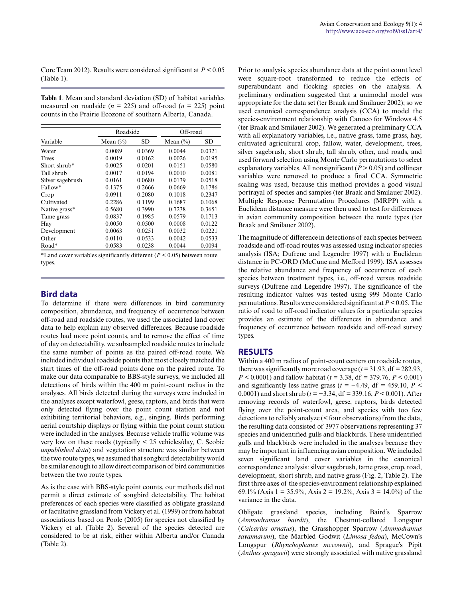Core Team 2012). Results were considered significant at *P* < 0.05 (Table 1).

**Table 1**. Mean and standard deviation (SD) of habitat variables measured on roadside  $(n = 225)$  and off-road  $(n = 225)$  point counts in the Prairie Ecozone of southern Alberta, Canada.

|                  | Roadside     |        | Off-road     |        |  |  |
|------------------|--------------|--------|--------------|--------|--|--|
| Variable         | Mean $(\% )$ | SD     | Mean $(\% )$ | SD     |  |  |
| Water            | 0.0089       | 0.0369 | 0.0044       | 0.0321 |  |  |
| <b>Trees</b>     | 0.0019       | 0.0162 | 0.0026       | 0.0195 |  |  |
| Short shrub*     | 0.0025       | 0.0201 | 0.0151       | 0.0580 |  |  |
| Tall shrub       | 0.0017       | 0.0194 | 0.0010       | 0.0081 |  |  |
| Silver sagebrush | 0.0161       | 0.0680 | 0.0139       | 0.0518 |  |  |
| Fallow*          | 0.1375       | 0.2666 | 0.0669       | 0.1786 |  |  |
| Crop             | 0.0911       | 0.2080 | 0.1018       | 0.2347 |  |  |
| Cultivated       | 0.2286       | 0.1199 | 0.1687       | 0.1068 |  |  |
| Native grass*    | 0.5680       | 0.3990 | 0.7238       | 0.3651 |  |  |
| Tame grass       | 0.0837       | 0.1985 | 0.0579       | 0.1713 |  |  |
| Hay              | 0.0050       | 0.0500 | 0.0008       | 0.0122 |  |  |
| Development      | 0.0063       | 0.0251 | 0.0032       | 0.0221 |  |  |
| Other            | 0.0110       | 0.0533 | 0.0042       | 0.0533 |  |  |
| Road*            | 0.0583       | 0.0238 | 0.0044       | 0.0094 |  |  |

\*Land cover variables significantly different  $(P < 0.05)$  between route types.

### **Bird data**

To determine if there were differences in bird community composition, abundance, and frequency of occurrence between off-road and roadside routes, we used the associated land cover data to help explain any observed differences. Because roadside routes had more point counts, and to remove the effect of time of day on detectability, we subsampled roadside routes to include the same number of points as the paired off-road route. We included individual roadside points that most closely matched the start times of the off-road points done on the paired route. To make our data comparable to BBS-style surveys, we included all detections of birds within the 400 m point-count radius in the analyses. All birds detected during the surveys were included in the analyses except waterfowl, geese, raptors, and birds that were only detected flying over the point count station and not exhibiting territorial behaviors, e.g., singing. Birds performing aerial courtship displays or flying within the point count station were included in the analyses. Because vehicle traffic volume was very low on these roads (typically < 25 vehicles/day, C. Scobie *unpublished data*) and vegetation structure was similar between the two route types, we assumed that songbird detectability would be similar enough to allow direct comparison of bird communities between the two route types.

As is the case with BBS-style point counts, our methods did not permit a direct estimate of songbird detectability. The habitat preferences of each species were classified as obligate grassland or facultative grassland from Vickery et al. (1999) or from habitat associations based on Poole (2005) for species not classified by Vickery et al. (Table 2). Several of the species detected are considered to be at risk, either within Alberta and/or Canada (Table 2).

Prior to analysis, species abundance data at the point count level were square-root transformed to reduce the effects of superabundant and flocking species on the analysis. A preliminary ordination suggested that a unimodal model was appropriate for the data set (ter Braak and Smilauer 2002); so we used canonical correspondence analysis (CCA) to model the species-environment relationship with Canoco for Windows 4.5 (ter Braak and Smilauer 2002). We generated a preliminary CCA with all explanatory variables, *i.e.*, native grass, tame grass, hay, cultivated agricultural crop, fallow, water, development, trees, silver sagebrush, short shrub, tall shrub, other, and roads, and used forward selection using Monte Carlo permutations to select explanatory variables. All nonsignificant  $(P > 0.05)$  and collinear variables were removed to produce a final CCA. Symmetric scaling was used, because this method provides a good visual portrayal of species and samples (ter Braak and Smilauer 2002). Multiple Response Permutation Procedures (MRPP) with a Euclidean distance measure were then used to test for differences in avian community composition between the route types (ter Braak and Smilauer 2002).

The magnitude of difference in detections of each species between roadside and off-road routes was assessed using indicator species analysis (ISA; Dufrene and Legendre 1997) with a Euclidean distance in PC-ORD (McCune and Mefford 1999). ISA assesses the relative abundance and frequency of occurrence of each species between treatment types, i.e., off-road versus roadside surveys (Dufrene and Legendre 1997). The significance of the resulting indicator values was tested using 999 Monte Carlo permutations. Results were considered significant at *P* < 0.05. The ratio of road to off-road indicator values for a particular species provides an estimate of the differences in abundance and frequency of occurrence between roadside and off-road survey types.

#### **RESULTS**

Within a 400 m radius of point-count centers on roadside routes, there was significantly more road coverage  $(t = 31.93, df = 282.93,$ *P* < 0.0001) and fallow habitat (*t* = 3.38, df = 379.76, *P* < 0.001) and significantly less native grass ( $t = -4.49$ , df = 459.10,  $P \le$ 0.0001) and short shrub (*t* = −3.34, df = 339.16, *P* < 0.001). After removing records of waterfowl, geese, raptors, birds detected flying over the point-count area, and species with too few detections to reliably analyze (< four observations) from the data, the resulting data consisted of 3977 observations representing 37 species and unidentified gulls and blackbirds. These unidentified gulls and blackbirds were included in the analyses because they may be important in influencing avian composition. We included seven significant land cover variables in the canonical correspondence analysis: silver sagebrush, tame grass, crop, road, development, short shrub, and native grass (Fig. 2, Table 2). The first three axes of the species-environment relationship explained 69.1% (Axis 1 = 35.9%, Axis 2 = 19.2%, Axis 3 = 14.0%) of the variance in the data.

Obligate grassland species, including Baird's Sparrow (*Ammodramus bairdii*), the Chestnut-collared Longspur (*Calcarius ornatus*), the Grasshopper Sparrow (*Ammodramus savannarum*), the Marbled Godwit (*Limosa fedoa*), McCown's Longspur (*Rhynchophanes mccownii*), and Sprague's Pipit (*Anthus spragueii*) were strongly associated with native grassland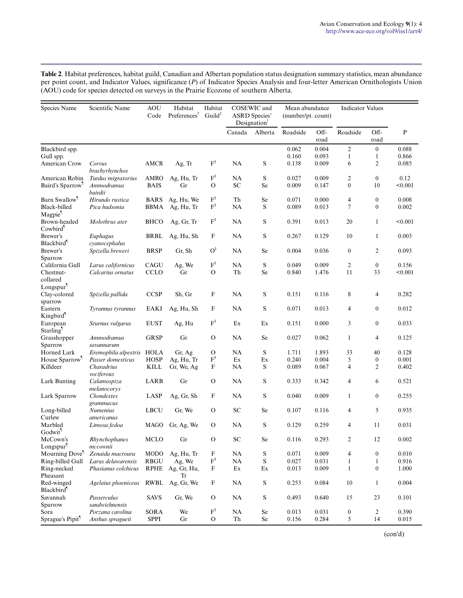**Table 2**. Habitat preferences, habitat guild, Canadian and Albertan population status designation summary statistics, mean abundance per point count, and Indicator Values, significance (*P*) of Indicator Species Analysis and four-letter American Ornithologists Union (AOU) code for species detected on surveys in the Prairie Ecozone of southern Alberta.

| Species Name                                   | Scientific Name               | <b>AOU</b><br>Code | Habitat<br>Preferences <sup>†</sup> | Habitat<br>Guild $\mathfrak{t}$ | COSEWIC and<br><b>ASRD</b> Species'<br>Designation |         | Mean abundance<br>(number/pt. count) |              | <b>Indicator Values</b> |                  |             |
|------------------------------------------------|-------------------------------|--------------------|-------------------------------------|---------------------------------|----------------------------------------------------|---------|--------------------------------------|--------------|-------------------------|------------------|-------------|
|                                                |                               |                    |                                     |                                 | Canada                                             | Alberta | Roadside                             | Off-<br>road | Roadside                | Off-<br>road     | $\mathbf P$ |
| Blackbird spp.                                 |                               |                    |                                     |                                 |                                                    |         | 0.062                                | 0.004        | $\overline{c}$          | $\boldsymbol{0}$ | 0.088       |
| Gull spp.                                      |                               |                    |                                     |                                 |                                                    |         | 0.160                                | 0.093        | 1                       | 1                | 0.866       |
| American Crow                                  | Corvus<br>brachyrhynchos      | <b>AMCR</b>        | Ag, Tr                              | $F^{\S}$                        | NA                                                 | S       | 0.138                                | 0.009        | 6                       | $\overline{c}$   | 0.085       |
| American Robin                                 | Turdus migratorius            | <b>AMRO</b>        | Ag, Hu, Tr                          | $F^{\S}$                        | NA                                                 | S       | 0.027                                | 0.009        | $\overline{\mathbf{c}}$ | $\boldsymbol{0}$ | 0.12        |
| Baird's Sparrow <sup>1</sup>                   | <b>Ammodramus</b><br>bairdii  | <b>BAIS</b>        | Gr                                  | O                               | <b>SC</b>                                          | Se      | 0.009                                | 0.147        | $\boldsymbol{0}$        | 10               | < 0.001     |
| Barn Swallow <sup>1</sup>                      | Hirundo rustica               | <b>BARS</b>        | Ag, Hu, We                          | $F^{\S}$                        | Th                                                 | Se      | 0.071                                | 0.000        | 4                       | $\boldsymbol{0}$ | 0.008       |
| Black-billed<br>Magpie <sup>1</sup>            | Pica hudsonia                 | <b>BBMA</b>        | Ag, Hu, Tr                          | $F^{\S}$                        | <b>NA</b>                                          | S       | 0.089                                | 0.013        | $\overline{7}$          | $\mathbf{0}$     | 0.002       |
| Brown-headed<br>Cowbird <sup>1</sup>           | Molothrus ater                | <b>BHCO</b>        | Ag, Gr, Tr                          | $F^{\S}$                        | NA                                                 | S       | 0.391                                | 0.013        | 20                      | 1                | < 0.001     |
| Brewer's<br>Blackbird <sup>1</sup>             | Euphagus<br>cyanocephalus     | <b>BRBL</b>        | Ag, Hu, Sh                          | $\boldsymbol{\mathrm{F}}$       | NA                                                 | S       | 0.267                                | 0.129        | 10                      | $\mathbf{1}$     | 0.003       |
| Brewer's<br>Sparrow                            | Spizella breweri              | <b>BRSP</b>        | Gr, Sh                              | $O^{\S}$                        | <b>NA</b>                                          | Se      | 0.004                                | 0.036        | $\boldsymbol{0}$        | 2                | 0.093       |
| California Gull                                | Larus californicus            | CAGU               | Ag, We                              | $F^{\S}$                        | NA                                                 | S       | 0.049                                | 0.009        | 2                       | $\boldsymbol{0}$ | 0.156       |
| Chestnut-<br>collared<br>Longspur <sup>1</sup> | Calcarius ornatus             | <b>CCLO</b>        | Gr                                  | $\mathbf O$                     | Th                                                 | Se      | 0.840                                | 1.476        | 11                      | 33               | < 0.001     |
| Clay-colored<br>sparrow                        | Spizella pallida              | <b>CCSP</b>        | Sh, Gr                              | $\boldsymbol{\mathrm{F}}$       | <b>NA</b>                                          | S       | 0.151                                | 0.116        | 8                       | 4                | 0.282       |
| Eastern<br>Kingbird <sup>1</sup>               | Tyrannus tyrannus             | EAKI               | Ag, Hu, Sh                          | F                               | NA                                                 | S       | 0.071                                | 0.013        | 4                       | $\boldsymbol{0}$ | 0.012       |
| European<br>Starling                           | Sturnus vulgarus              | <b>EUST</b>        | Ag, Hu                              | $F^{\$}$                        | Ex                                                 | Ex      | 0.151                                | 0.000        | 3                       | $\boldsymbol{0}$ | 0.033       |
| Grasshopper<br>Sparrow                         | Ammodramus<br>savannarum      | <b>GRSP</b>        | Gr                                  | $\mathbf O$                     | <b>NA</b>                                          | Se      | 0.027                                | 0.062        | 1                       | 4                | 0.125       |
| Horned Lark                                    | Eremophila alpestris          | <b>HOLA</b>        | Gr, Ag                              | O                               | NA                                                 | S       | 1.711                                | 1.893        | 33                      | 40               | 0.128       |
| House Sparrow <sup>1</sup>                     | Passer domesticus             | <b>HOSP</b>        | Ag, Hu, Tr                          | $F^{\S}$                        | Ex                                                 | Ex      | 0.240                                | 0.004        | 5                       | $\boldsymbol{0}$ | 0.001       |
| Killdeer                                       | Charadrius<br>vociferous      | KILL               | Gr, We, Ag                          | F                               | <b>NA</b>                                          | S       | 0.089                                | 0.067        | 4                       | $\overline{2}$   | 0.402       |
| Lark Bunting                                   | Calamospiza<br>melanocorys    | LARB               | Gr                                  | $\mathbf O$                     | <b>NA</b>                                          | S       | 0.333                                | 0.342        | 4                       | 6                | 0.521       |
| Lark Sparrow                                   | Chondestes<br>grammacus       | LASP               | Ag, Gr, Sh                          | F                               | NA                                                 | S       | 0.040                                | 0.009        | $\mathbf{1}$            | $\boldsymbol{0}$ | 0.255       |
| Long-billed<br>Curlew                          | Numenius<br>americanus        | <b>LBCU</b>        | Gr, We                              | $\mathbf O$                     | SC                                                 | Se      | 0.107                                | 0.116        | 4                       | 5                | 0.935       |
| Marbled<br>Godwit <sup>1</sup>                 | Limosa fedoa                  | MAGO               | Gr, Ag, We                          | O                               | NA                                                 | S       | 0.129                                | 0.259        | 4                       | 11               | 0.031       |
| McCown's<br>Longspur                           | Rhynchophanes<br>mccownii     | $\rm MCLO$         | Gr                                  | O                               | ${\rm SC}$                                         | Se      | 0.116                                | 0.293        | 2                       | 12               | 0.002       |
| Mourning Dove <sup>1</sup>                     | Zenaida macroura              | <b>MODO</b>        | Ag, Hu, Tr                          | $\boldsymbol{\mathrm{F}}$       | NA                                                 | S       | 0.071                                | 0.009        | 4                       | $\boldsymbol{0}$ | 0.010       |
| Ring-billed Gull                               | Larus delawarensis            | <b>RBGU</b>        | Ag, We                              | $F^{\S}$                        | NA                                                 | S       | 0.027                                | 0.031        | $\mathbf{1}$            | 1                | 0.916       |
| Ring-necked                                    | Phasianus colchicus           |                    | RPHE Ag, Gr, Hu,                    | $\boldsymbol{\mathrm{F}}$       | Ex                                                 | Ex      | 0.013                                | 0.009        | $\mathbf{1}$            | $\boldsymbol{0}$ | 1.000       |
| Pheasant                                       |                               |                    | Tr                                  |                                 |                                                    |         |                                      |              |                         |                  |             |
| Red-winged<br>Blackbird <sup>1</sup>           | Agelaius phoeniceus           |                    | RWBL Ag, Gr, We                     | $\boldsymbol{\mathrm{F}}$       | <b>NA</b>                                          | S       | 0.253                                | 0.084        | 10                      | 1                | 0.004       |
| Savannah<br>Sparrow                            | Passerculus<br>sandwichnensis | <b>SAVS</b>        | Gr, We                              | $\mathbf O$                     | <b>NA</b>                                          | S       | 0.493                                | 0.640        | 15                      | 23               | 0.101       |
| Sora                                           | Porzana carolina              | <b>SORA</b>        | We                                  | $F^{\S}$                        | NA                                                 | Se      | 0.013                                | 0.031        | $\boldsymbol{0}$        | 2                | 0.390       |
| Sprague's Pipit <sup>1</sup>                   | Anthus spragueii              | SPPI               | Gr                                  | 0                               | Th                                                 | Se      | 0.156                                | 0.284        | 5                       | 14               | 0.015       |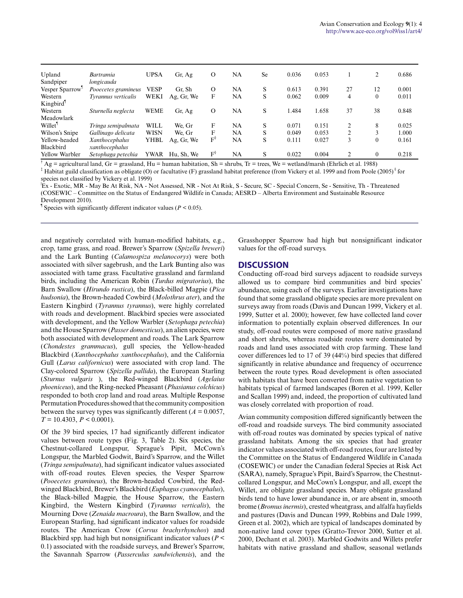| Upland<br>Sandpiper         | <i>Bartramia</i><br>longicauda | <b>UPSA</b> | Gr, Ag     | $\Omega$       | NA | Se | 0.036 | 0.053 |                |          | 0.686 |
|-----------------------------|--------------------------------|-------------|------------|----------------|----|----|-------|-------|----------------|----------|-------|
| Vesper Sparrow <sup>1</sup> | Pooecetes gramineus            | <b>VESP</b> | Gr. Sh     | $\Omega$       | NA | S  | 0.613 | 0.391 | 27             | 12       | 0.001 |
| Western                     | Tyrannus verticalis            | WEKI        | Ag, Gr, We | F              | NA | S  | 0.062 | 0.009 | 4              | $\theta$ | 0.011 |
| Kingbird <sup>1</sup>       |                                |             |            |                |    |    |       |       |                |          |       |
| Western                     | Sturnella neglecta             | <b>WEME</b> | Gr, Ag     | $\Omega$       | NA | S  | 1.484 | 1.658 | 37             | 38       | 0.848 |
| Meadowlark                  |                                |             |            |                |    |    |       |       |                |          |       |
| Willet <sup>1</sup>         | Tringa semipalmata             | <b>WILL</b> | We. Gr     | F              | NA | S  | 0.071 | 0.151 | $\mathfrak{D}$ | 8        | 0.025 |
| Wilson's Snipe              | Gallinago delicata             | <b>WISN</b> | We. Gr     | F              | NA | S  | 0.049 | 0.053 | $\mathfrak{D}$ | 3        | 1.000 |
| Yellow-headed               | Xanthocephalus                 | YHBL        | Ag, Gr, We | $F^{\S}$       | NA | S  | 0.111 | 0.027 | 3              | $\theta$ | 0.161 |
| Blackbird                   | xanthocephalus                 |             |            |                |    |    |       |       |                |          |       |
| Yellow Warbler              | Setophaga petechia             | YWAR        | Hu, Sh, We | F <sup>3</sup> | NA | S  | 0.022 | 0.004 | 2              | $\theta$ | 0.218 |

 $^{\dagger}$  Ag = agricultural land, Gr = grassland, Hu = human habitation, Sh = shrubs, Tr = trees, We = wetland/marsh (Ehrlich et al. 1988)

 $^{\ddagger}$  Habitat guild classification as obligate (O) or facultative (F) grassland habitat preference (from Vickery et al. 1999 and from Poole (2005)  $^{\circ}$  for species not classified by Vickery et al. 1999)

<sup>|</sup>Ex - Exotic, MR - May Be At Risk, NA - Not Assessed, NR - Not At Risk, S - Secure, SC - Special Concern, Se - Sensitive, Th - Threatened (COSEWIC – Committee on the Status of Endangered Wildlife in Canada; AESRD – Alberta Environment and Sustainable Resource Development 2010).

<sup>1</sup> Species with significantly different indicator values ( $P < 0.05$ ).

and negatively correlated with human-modified habitats, e.g., crop, tame grass, and road. Brewer's Sparrow (*Spizella breweri*) and the Lark Bunting (*Calamospiza melanocorys*) were both associated with silver sagebrush, and the Lark Bunting also was associated with tame grass. Facultative grassland and farmland birds, including the American Robin (*Turdus migratorius*), the Barn Swallow (*Hirundo rustica*), the Black-billed Magpie (*Pica hudsonia*), the Brown-headed Cowbird (*Molothrus ater*), and the Eastern Kingbird (*Tyrannus tyrannus*), were highly correlated with roads and development. Blackbird species were associated with development, and the Yellow Warbler (*Setophaga petechia*) and the House Sparrow (*Passer domesticus*), an alien species, were both associated with development and roads. The Lark Sparrow (*Chondestes grammacus*), gull species, the Yellow-headed Blackbird (*Xanthocephalus xanthocephalus*), and the California Gull (*Larus californicus*) were associated with crop land. The Clay-colored Sparrow (*Spizella pallida*), the European Starling (*Sturnus vulgaris* ), the Red-winged Blackbird (*Agelaius phoeniceus*), and the Ring-necked Pheasant (*Phasianus colchicus*) responded to both crop land and road areas. Multiple Response Permutation Procedures showed that the community composition between the survey types was significantly different  $(A = 0.0057,$ *T* = 10.4303, *P* < 0.0001).

Of the 39 bird species, 17 had significantly different indicator values between route types (Fig. 3, Table 2). Six species, the Chestnut-collared Longspur, Sprague's Pipit, McCown's Longspur, the Marbled Godwit, Baird's Sparrow, and the Willet (*Tringa semipalmata*), had significant indicator values associated with off-road routes. Eleven species, the Vesper Sparrow (*Pooecetes gramineus*), the Brown-headed Cowbird, the Redwinged Blackbird, Brewer's Blackbird (*Euphagus cyanocephalus*), the Black-billed Magpie, the House Sparrow, the Eastern Kingbird, the Western Kingbird (*Tyrannus verticalis*), the Mourning Dove (*Zenaida macroura*), the Barn Swallow, and the European Starling, had significant indicator values for roadside routes. The American Crow (*Corvus brachyrhynchos*) and Blackbird spp. had high but nonsignificant indicator values (*P* < 0.1) associated with the roadside surveys, and Brewer's Sparrow, the Savannah Sparrow (*Passerculus sandwichensis*), and the Grasshopper Sparrow had high but nonsignificant indicator values for the off-road surveys.

#### **DISCUSSION**

Conducting off-road bird surveys adjacent to roadside surveys allowed us to compare bird communities and bird species' abundance, using each of the surveys. Earlier investigations have found that some grassland obligate species are more prevalent on surveys away from roads (Davis and Duncan 1999, Vickery et al. 1999, Sutter et al. 2000); however, few have collected land cover information to potentially explain observed differences. In our study, off-road routes were composed of more native grassland and short shrubs, whereas roadside routes were dominated by roads and land uses associated with crop farming. These land cover differences led to 17 of 39 (44%) bird species that differed significantly in relative abundance and frequency of occurrence between the route types. Road development is often associated with habitats that have been converted from native vegetation to habitats typical of farmed landscapes (Boren et al. 1999, Keller and Scallan 1999) and, indeed, the proportion of cultivated land was closely correlated with proportion of road.

Avian community composition differed significantly between the off-road and roadside surveys. The bird community associated with off-road routes was dominated by species typical of native grassland habitats. Among the six species that had greater indicator values associated with off-road routes, four are listed by the Committee on the Status of Endangered Wildlife in Canada (COSEWIC) or under the Canadian federal Species at Risk Act (SARA), namely, Sprague's Pipit, Baird's Sparrow, the Chestnutcollared Longspur, and McCown's Longspur, and all, except the Willet, are obligate grassland species. Many obligate grassland birds tend to have lower abundance in, or are absent in, smooth brome (*Bromus inermis*), crested wheatgrass, and alfalfa hayfields and pastures (Davis and Duncan 1999, Robbins and Dale 1999, Green et al. 2002), which are typical of landscapes dominated by non-native land cover types (Gratto-Trevor 2000, Sutter et al. 2000, Dechant et al. 2003). Marbled Godwits and Willets prefer habitats with native grassland and shallow, seasonal wetlands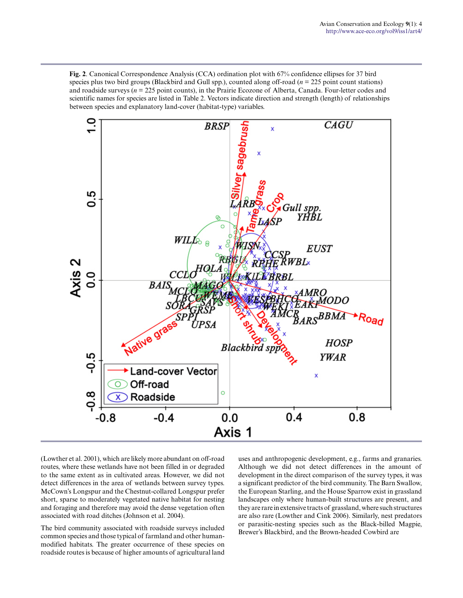**Fig. 2**. Canonical Correspondence Analysis (CCA) ordination plot with 67% confidence ellipses for 37 bird species plus two bird groups (Blackbird and Gull spp.), counted along off-road ( $n = 225$  point count stations) and roadside surveys (*n* = 225 point counts), in the Prairie Ecozone of Alberta, Canada. Four-letter codes and scientific names for species are listed in Table 2. Vectors indicate direction and strength (length) of relationships between species and explanatory land-cover (habitat-type) variables.



(Lowther et al. 2001), which are likely more abundant on off-road routes, where these wetlands have not been filled in or degraded to the same extent as in cultivated areas. However, we did not detect differences in the area of wetlands between survey types. McCown's Longspur and the Chestnut-collared Longspur prefer short, sparse to moderately vegetated native habitat for nesting and foraging and therefore may avoid the dense vegetation often associated with road ditches (Johnson et al. 2004).

The bird community associated with roadside surveys included common species and those typical of farmland and other humanmodified habitats. The greater occurrence of these species on roadside routes is because of higher amounts of agricultural land uses and anthropogenic development, e.g., farms and granaries. Although we did not detect differences in the amount of development in the direct comparison of the survey types, it was a significant predictor of the bird community. The Barn Swallow, the European Starling, and the House Sparrow exist in grassland landscapes only where human-built structures are present, and they are rare in extensive tracts of grassland, where such structures are also rare (Lowther and Cink 2006). Similarly, nest predators or parasitic-nesting species such as the Black-billed Magpie, Brewer's Blackbird, and the Brown-headed Cowbird are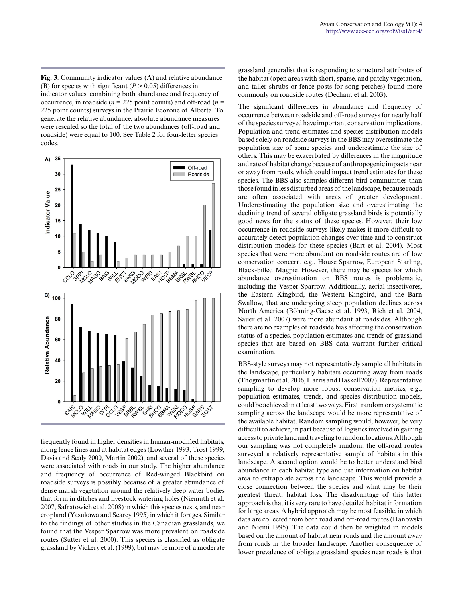**Fig. 3**. Community indicator values (A) and relative abundance (B) for species with significant (*P* > 0.05) differences in indicator values, combining both abundance and frequency of occurrence, in roadside ( $n = 225$  point counts) and off-road ( $n =$ 225 point counts) surveys in the Prairie Ecozone of Alberta. To generate the relative abundance, absolute abundance measures were rescaled so the total of the two abundances (off-road and roadside) were equal to 100. See Table 2 for four-letter species codes.



frequently found in higher densities in human-modified habitats, along fence lines and at habitat edges (Lowther 1993, Trost 1999, Davis and Sealy 2000, Martin 2002), and several of these species were associated with roads in our study. The higher abundance and frequency of occurrence of Red-winged Blackbird on roadside surveys is possibly because of a greater abundance of dense marsh vegetation around the relatively deep water bodies that form in ditches and livestock watering holes (Niemuth et al. 2007, Safratowich et al. 2008) in which this species nests, and near cropland (Yasukawa and Searcy 1995) in which it forages. Similar to the findings of other studies in the Canadian grasslands, we found that the Vesper Sparrow was more prevalent on roadside routes (Sutter et al. 2000). This species is classified as obligate grassland by Vickery et al. (1999), but may be more of a moderate grassland generalist that is responding to structural attributes of the habitat (open areas with short, sparse, and patchy vegetation, and taller shrubs or fence posts for song perches) found more commonly on roadside routes (Dechant et al. 2003).

The significant differences in abundance and frequency of occurrence between roadside and off-road surveys for nearly half of the species surveyed have important conservation implications. Population and trend estimates and species distribution models based solely on roadside surveys in the BBS may overestimate the population size of some species and underestimate the size of others. This may be exacerbated by differences in the magnitude and rate of habitat change because of anthropogenic impacts near or away from roads, which could impact trend estimates for these species. The BBS also samples different bird communities than those found in less disturbed areas of the landscape, because roads are often associated with areas of greater development. Underestimating the population size and overestimating the declining trend of several obligate grassland birds is potentially good news for the status of these species. However, their low occurrence in roadside surveys likely makes it more difficult to accurately detect population changes over time and to construct distribution models for these species (Bart et al. 2004). Most species that were more abundant on roadside routes are of low conservation concern, e.g., House Sparrow, European Starling, Black-billed Magpie. However, there may be species for which abundance overestimation on BBS routes is problematic, including the Vesper Sparrow. Additionally, aerial insectivores, the Eastern Kingbird, the Western Kingbird, and the Barn Swallow, that are undergoing steep population declines across North America (Böhning-Gaese et al. 1993, Rich et al. 2004, Sauer et al. 2007) were more abundant at roadsides. Although there are no examples of roadside bias affecting the conservation status of a species, population estimates and trends of grassland species that are based on BBS data warrant further critical examination.

BBS-style surveys may not representatively sample all habitats in the landscape, particularly habitats occurring away from roads (Thogmartin et al. 2006, Harris and Haskell 2007). Representative sampling to develop more robust conservation metrics, e.g., population estimates, trends, and species distribution models, could be achieved in at least two ways. First, random or systematic sampling across the landscape would be more representative of the available habitat. Random sampling would, however, be very difficult to achieve, in part because of logistics involved in gaining access to private land and traveling to random locations. Although our sampling was not completely random, the off-road routes surveyed a relatively representative sample of habitats in this landscape. A second option would be to better understand bird abundance in each habitat type and use information on habitat area to extrapolate across the landscape. This would provide a close connection between the species and what may be their greatest threat, habitat loss. The disadvantage of this latter approach is that it is very rare to have detailed habitat information for large areas. A hybrid approach may be most feasible, in which data are collected from both road and off-road routes (Hanowski and Niemi 1995). The data could then be weighted in models based on the amount of habitat near roads and the amount away from roads in the broader landscape. Another consequence of lower prevalence of obligate grassland species near roads is that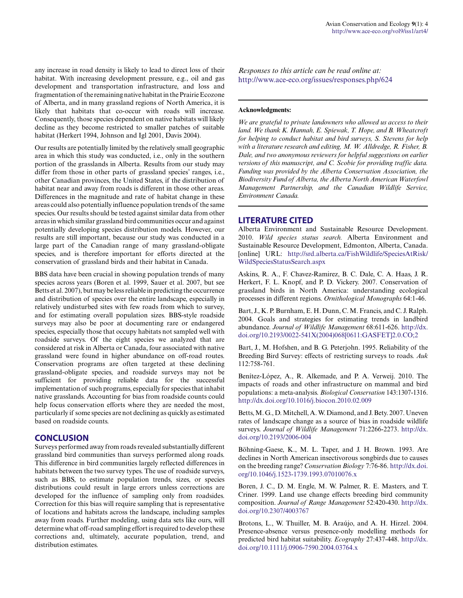likely that habitats that co-occur with roads will increase. Consequently, those species dependent on native habitats will likely decline as they become restricted to smaller patches of suitable habitat (Herkert 1994, Johnson and Igl 2001, Davis 2004).

Our results are potentially limited by the relatively small geographic area in which this study was conducted, i.e., only in the southern portion of the grasslands in Alberta. Results from our study may differ from those in other parts of grassland species' ranges, i.e., other Canadian provinces, the United States, if the distribution of habitat near and away from roads is different in those other areas. Differences in the magnitude and rate of habitat change in these areas could also potentially influence population trends of the same species. Our results should be tested against similar data from other areas in which similar grassland bird communities occur and against potentially developing species distribution models. However, our results are still important, because our study was conducted in a large part of the Canadian range of many grassland-obligate species, and is therefore important for efforts directed at the conservation of grassland birds and their habitat in Canada.

BBS data have been crucial in showing population trends of many species across years (Boren et al. 1999, Sauer et al. 2007, but see Betts et al. 2007), but may be less reliable in predicting the occurrence and distribution of species over the entire landscape, especially in relatively undisturbed sites with few roads from which to survey, and for estimating overall population sizes. BBS-style roadside surveys may also be poor at documenting rare or endangered species, especially those that occupy habitats not sampled well with roadside surveys. Of the eight species we analyzed that are considered at risk in Alberta or Canada, four associated with native grassland were found in higher abundance on off-road routes. Conservation programs are often targeted at these declining grassland-obligate species, and roadside surveys may not be sufficient for providing reliable data for the successful implementation of such programs, especially for species that inhabit native grasslands. Accounting for bias from roadside counts could help focus conservation efforts where they are needed the most, particularly if some species are not declining as quickly as estimated based on roadside counts.

### **CONCLUSION**

Surveys performed away from roads revealed substantially different grassland bird communities than surveys performed along roads. This difference in bird communities largely reflected differences in habitats between the two survey types. The use of roadside surveys, such as BBS, to estimate population trends, sizes, or species distributions could result in large errors unless corrections are developed for the influence of sampling only from roadsides. Correction for this bias will require sampling that is representative of locations and habitats across the landscape, including samples away from roads. Further modeling, using data sets like ours, will determine what off-road sampling effort is required to develop these corrections and, ultimately, accurate population, trend, and distribution estimates.

*Responses to this article can be read online at:* http://www.ace-eco.org/issues/responses.php/624

#### **Acknowledgments:**

*We are grateful to private landowners who allowed us access to their land. We thank K. Hannah, E. Spiewak, T. Hope, and B. Wheatcroft for helping to conduct habitat and bird surveys, S. Stevens for help with a literature research and editing, M. W. Alldredge, R. Fisher, B. Dale, and two anonymous reviewers for helpful suggestions on earlier versions of this manuscript, and C. Scobie for providing traffic data. Funding was provided by the Alberta Conservation Association, the Biodiversity Fund of Alberta, the Alberta North American Waterfowl Management Partnership, and the Canadian Wildlife Service, Environment Canada.*

#### **LITERATURE CITED**

Alberta Environment and Sustainable Resource Development. 2010. *Wild species status search.* Alberta Environment and Sustainable Resource Development, Edmonton, Alberta, Canada. [online] URL: http://srd.alberta.ca/FishWildlife/SpeciesAtRisk/ WildSpeciesStatusSearch.aspx

Askins, R. A., F. Chavez-Ramirez, B. C. Dale, C. A. Haas, J. R. Herkert, F. L. Knopf, and P. D. Vickery. 2007. Conservation of grassland birds in North America: understanding ecological processes in different regions. *Ornithological Monographs* 64:1-46.

Bart, J., K. P. Burnham, E. H. Dunn, C. M. Francis, and C. J. Ralph. 2004. Goals and strategies for estimating trends in landbird abundance. *Journal of Wildlife Management* 68:611-626. http://dx. doi.org/10.2193/0022-541X(2004)068[0611:GASFET]2.0.CO;2

Bart, J., M. Hofshen, and B. G. Peterjohn. 1995. Reliability of the Breeding Bird Survey: effects of restricting surveys to roads. *Auk* 112:758-761.

Benítez-López, A., R. Alkemade, and P. A. Verweij. 2010. The impacts of roads and other infrastructure on mammal and bird populations: a meta-analysis. *Biological Conservation* 143:1307-1316. http://dx.doi.org/10.1016/j.biocon.2010.02.009

Betts, M. G., D. Mitchell, A. W. Diamond, and J. Bety. 2007. Uneven rates of landscape change as a source of bias in roadside wildlife surveys. *Journal of Wildlife Management* 71:2266-2273. http://dx. doi.org/10.2193/2006-004

Böhning-Gaese, K., M. L. Taper, and J. H. Brown. 1993. Are declines in North American insectivorous songbirds due to causes on the breeding range? *Conservation Biology* 7:76-86. http://dx.doi. org/10.1046/j.1523-1739.1993.07010076.x

Boren, J. C., D. M. Engle, M. W. Palmer, R. E. Masters, and T. Criner. 1999. Land use change effects breeding bird community composition. *Journal of Range Management* 52:420-430. http://dx. doi.org/10.2307/4003767

Brotons, L., W. Thuiller, M. B. Araújo, and A. H. Hirzel. 2004. Presence-absence versus presence-only modelling methods for predicted bird habitat suitability. *Ecography* 27:437-448. http://dx. doi.org/10.1111/j.0906-7590.2004.03764.x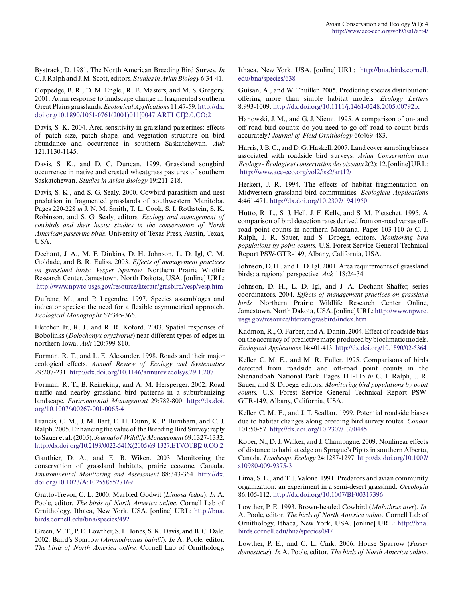Bystrack, D. 1981. The North American Breeding Bird Survey. *In* C. J. Ralph and J. M. Scott, editors. *Studies in Avian Biology* 6:34-41.

Coppedge, B. R., D. M. Engle., R. E. Masters, and M. S. Gregory. 2001. Avian response to landscape change in fragmented southern Great Plains grasslands. *Ecological Applications* 11:47-59. http://dx. doi.org/10.1890/1051-0761(2001)011[0047:ARTLCI]2.0.CO;2

Davis, S. K. 2004. Area sensitivity in grassland passerines: effects of patch size, patch shape, and vegetation structure on bird abundance and occurrence in southern Saskatchewan. *Auk* 121:1130-1145.

Davis, S. K., and D. C. Duncan. 1999. Grassland songbird occurrence in native and crested wheatgrass pastures of southern Saskatchewan. *Studies in Avian Biology* 19:211-218.

Davis, S. K., and S. G. Sealy. 2000. Cowbird parasitism and nest predation in fragmented grasslands of southwestern Manitoba. Pages 220-228 *in* J. N. M. Smith, T. L. Cook, S. I. Rothstein, S. K. Robinson, and S. G. Sealy, editors. *Ecology and management of cowbirds and their hosts: studies in the conservation of North American passerine birds.* University of Texas Press, Austin, Texas, USA.

Dechant, J. A., M. F. Dinkins, D. H. Johnson, L. D. Igl, C. M. Goldade, and B. R. Euliss. 2003. *Effects of management practices on grassland birds: Vesper Sparrow.* Northern Prairie Wildlife Research Center, Jamestown, North Dakota, USA. [online] URL: http://www.npwrc.usgs.gov/resource/literatr/grasbird/vesp/vesp.htm

Dufrene, M., and P. Legendre. 1997. Species assemblages and indicator species: the need for a flexible asymmetrical approach. *Ecological Monographs* 67:345-366.

Fletcher, Jr., R. J., and R. R. Koford. 2003. Spatial responses of Bobolinks (*Dolochonyx oryzivorus*) near different types of edges in northern Iowa. *Auk* 120:799-810.

Forman, R. T., and L. E. Alexander. 1998. Roads and their major ecological effects. *Annual Review of Ecology and Systematics* 29:207-231. http://dx.doi.org/10.1146/annurev.ecolsys.29.1.207

Forman, R. T., B. Reineking, and A. M. Hersperger. 2002. Road traffic and nearby grassland bird patterns in a suburbanizing landscape. *Environmental Management* 29:782-800. http://dx.doi. org/10.1007/s00267-001-0065-4

Francis, C. M., J. M. Bart, E. H. Dunn, K. P. Burnham, and C. J. Ralph. 2005. Enhancing the value of the Breeding Bird Survey: reply to Sauer et al. (2005). *Journal of Wildlife Management* 69:1327-1332. http://dx.doi.org/10.2193/0022-541X(2005)69[1327:ETVOTB]2.0.CO;2

Gauthier, D. A., and E. B. Wiken. 2003. Monitoring the conservation of grassland habitats, prairie ecozone, Canada. *Environmental Monitoring and Assessment* 88:343-364. http://dx. doi.org/10.1023/A:1025585527169

Gratto-Trevor, C. L. 2000. Marbled Godwit (*Limosa fedoa*). *In* A. Poole, editor. *The birds of North America online.* Cornell Lab of Ornithology, Ithaca, New York, USA. [online] URL: http://bna. birds.cornell.edu/bna/species/492

Green, M. T., P. E. Lowther, S. L. Jones, S. K. Davis, and B. C. Dale. 2002. Baird's Sparrow (*Ammodramus bairdii*). *In* A. Poole, editor. *The birds of North America online.* Cornell Lab of Ornithology, Ithaca, New York, USA. [online] URL: http://bna.birds.cornell. edu/bna/species/638

Guisan, A., and W. Thuiller. 2005. Predicting species distribution: offering more than simple habitat models. *Ecology Letters* 8:993-1009. http://dx.doi.org/10.1111/j.1461-0248.2005.00792.x

Hanowski, J. M., and G. J. Niemi. 1995. A comparison of on- and off-road bird counts: do you need to go off road to count birds accurately? *Journal of Field Ornithology* 66:469-483.

Harris, J. B. C., and D. G. Haskell. 2007. Land cover sampling biases associated with roadside bird surveys. *Avian Conservation and Ecology - Écologie et conservation des oiseaux* 2(2): 12. [online] URL: http://www.ace-eco.org/vol2/iss2/art12/

Herkert, J. R. 1994. The effects of habitat fragmentation on Midwestern grassland bird communities. *Ecological Applications* 4:461-471. http://dx.doi.org/10.2307/1941950

Hutto, R. L., S. J. Hell, J. F. Kelly, and S. M. Pletschet. 1995. A comparison of bird detection rates derived from on-road versus offroad point counts in northern Montana. Pages 103-110 *in* C. J. Ralph, J. R. Sauer, and S. Droege, editors. *Monitoring bird populations by point counts.* U.S. Forest Service General Technical Report PSW-GTR-149, Albany, California, USA.

Johnson, D. H., and L. D. Igl. 2001. Area requirements of grassland birds: a regional perspective. *Auk* 118:24-34.

Johnson, D. H., L. D. Igl, and J. A. Dechant Shaffer, series coordinators. 2004. *Effects of management practices on grassland birds.* Northern Prairie Wildlife Research Center Online, Jamestown, North Dakota, USA. [online] URL: http://www.npwrc. usgs.gov/resource/literatr/grasbird/index.htm

Kadmon, R., O. Farber, and A. Danin. 2004. Effect of roadside bias on the accuracy of predictive maps produced by bioclimatic models. *Ecological Applications* 14:401-413. http://dx.doi.org/10.1890/02-5364

Keller, C. M. E., and M. R. Fuller. 1995. Comparisons of birds detected from roadside and off-road point counts in the Shenandoah National Park. Pages 111-115 *in* C. J. Ralph, J. R. Sauer, and S. Droege, editors. *Monitoring bird populations by point counts.* U.S. Forest Service General Technical Report PSW-GTR-149, Albany, California, USA.

Keller, C. M. E., and J. T. Scallan. 1999. Potential roadside biases due to habitat changes along breeding bird survey routes. *Condor* 101:50-57. http://dx.doi.org/10.2307/1370445

Koper, N., D. J. Walker, and J. Champagne. 2009. Nonlinear effects of distance to habitat edge on Sprague's Pipits in southern Alberta, Canada. *Landscape Ecology* 24:1287-1297. http://dx.doi.org/10.1007/ s10980-009-9375-3

Lima, S. L., and T. J. Valone. 1991. Predators and avian community organization: an experiment in a semi-desert grassland. *Oecologia* 86:105-112. http://dx.doi.org/10.1007/BF00317396

Lowther, P. E. 1993. Brown-headed Cowbird (*Molothrus ater*). *In*  A. Poole, editor. *The birds of North America online.* Cornell Lab of Ornithology, Ithaca, New York, USA. [online] URL: http://bna. birds.cornell.edu/bna/species/047

Lowther, P. E., and C. L. Cink. 2006. House Sparrow (*Passer domesticus*). *In* A. Poole, editor. *The birds of North America online*.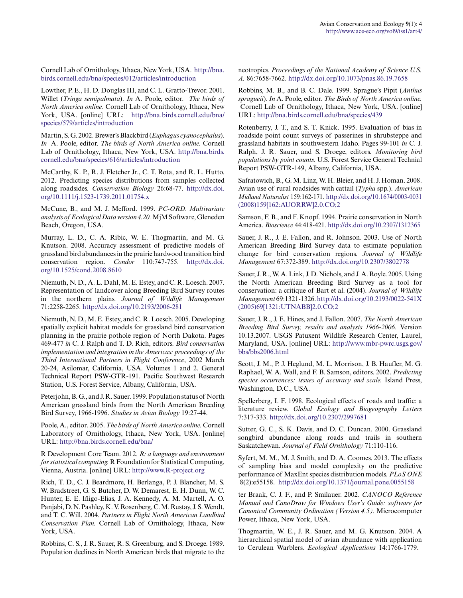Cornell Lab of Ornithology, Ithaca, New York, USA. http://bna. birds.cornell.edu/bna/species/012/articles/introduction

Lowther, P. E., H. D. Douglas III, and C. L. Gratto-Trevor. 2001. Willet (*Tringa semipalmata*). *In* A. Poole, editor. *The birds of North America online*. Cornell Lab of Ornithology, Ithaca, New York, USA. [online] URL: http://bna.birds.cornell.edu/bna/ species/579/articles/introduction

Martin, S. G. 2002. Brewer's Blackbird (*Euphagus cyanocephalus*). *In* A. Poole, editor. *The birds of North America online.* Cornell Lab of Ornithology, Ithaca, New York, USA. http://bna.birds. cornell.edu/bna/species/616/articles/introduction

McCarthy, K. P., R. J. Fletcher Jr., C. T. Rota, and R. L. Hutto. 2012. Predicting species distributions from samples collected along roadsides. *Conservation Biology* 26:68-77. http://dx.doi. org/10.1111/j.1523-1739.2011.01754.x

McCune, B., and M. J. Mefford. 1999. *PC-ORD. Multivariate analysis of Ecological Data version 4.20.* MjM Software, Gleneden Beach, Oregon, USA.

Murray, L. D., C. A. Ribic, W. E. Thogmartin, and M. G. Knutson. 2008. Accuracy assessment of predictive models of grassland bird abundances in the prairie hardwood transition bird conservation region. *Condor* 110:747-755. http://dx.doi. org/10.1525/cond.2008.8610

Niemuth, N. D., A. L. Dahl, M. E. Estey, and C. R. Loesch. 2007. Representation of landcover along Breeding Bird Survey routes in the northern plains. *Journal of Wildlife Management* 71:2258-2265. http://dx.doi.org/10.2193/2006-281

Niemuth, N. D., M. E. Estey, and C. R. Loesch. 2005. Developing spatially explicit habitat models for grassland bird conservation planning in the prairie pothole region of North Dakota. Pages 469-477 *in* C. J. Ralph and T. D. Rich, editors. *Bird conservation implementation and integration in the Americas: proceedings of the Third International Partners in Flight Conference*, 2002 March 20-24, Asilomar, California, USA. Volumes 1 and 2. General Technical Report PSW-GTR-191. Pacific Southwest Research Station, U.S. Forest Service, Albany, California, USA.

Peterjohn, B. G., and J. R. Sauer. 1999. Population status of North American grassland birds from the North American Breeding Bird Survey, 1966-1996. *Studies in Avian Biology* 19:27-44.

Poole, A., editor. 2005. *The birds of North America online.* Cornell Laboratory of Ornithology, Ithaca, New York, USA. [online] URL: http://bna.birds.cornell.edu/bna/

R Development Core Team. 2012. *R: a language and environment for statistical computing.* R Foundation for Statistical Computing, Vienna, Austria. [online] URL: http://www.R-project.org

Rich, T. D., C. J. Beardmore, H. Berlanga, P. J. Blancher, M. S. W. Bradstreet, G. S. Butcher, D. W. Demarest, E. H. Dunn, W. C. Hunter, E. E. Iñigo-Elias, J. A. Kennedy, A. M. Martell, A. O. Panjabi, D. N. Pashley, K. V. Rosenberg, C. M. Rustay, J. S. Wendt, and T. C. Will. 2004. *Partners in Flight North American Landbird Conservation Plan.* Cornell Lab of Ornithology, Ithaca, New York, USA.

Robbins, C. S., J. R. Sauer, R. S. Greenburg, and S. Droege. 1989. Population declines in North American birds that migrate to the neotropics. *Proceedings of the National Academy of Science U.S. A.* 86:7658-7662. http://dx.doi.org/10.1073/pnas.86.19.7658

Robbins, M. B., and B. C. Dale. 1999. Sprague's Pipit (*Anthus spragueii*). *In* A. Poole, editor. *The Birds of North America online.* Cornell Lab of Ornithology, Ithaca, New York, USA. [online] URL: http://bna.birds.cornell.edu/bna/species/439

Rotenberry, J. T., and S. T. Knick. 1995. Evaluation of bias in roadside point count surveys of passerines in shrubsteppe and grassland habitats in southwestern Idaho. Pages 99-101 *in* C. J. Ralph, J. R. Sauer, and S. Droege, editors. *Monitoring bird populations by point counts.* U.S. Forest Service General Technial Report PSW-GTR-149, Albany, California, USA.

Safratowich, B., G. M. Linz, W. H. Bleier, and H. J. Homan. 2008. Avian use of rural roadsides with cattail (*Typha* spp.). *American Midland Naturalist* 159:162-171. http://dx.doi.org/10.1674/0003-0031 (2008)159[162:AUORRW]2.0.CO;2

Samson, F. B., and F. Knopf. 1994. Prairie conservation in North America. *Bioscience* 44:418-421. http://dx.doi.org/10.2307/1312365

Sauer, J. R., J. E. Fallon, and R. Johnson. 2003. Use of North American Breeding Bird Survey data to estimate population change for bird conservation regions. *Journal of Wildlife Management* 67:372-389. http://dx.doi.org/10.2307/3802778

Sauer, J. R., W. A. Link, J. D. Nichols, and J. A. Royle. 2005. Using the North American Breeding Bird Survey as a tool for conservation: a critique of Bart et al. (2004). *Journal of Wildlife Management* 69:1321-1326. http://dx.doi.org/10.2193/0022-541X (2005)69[1321:UTNABB]2.0.CO;2

Sauer, J. R., J. E. Hines, and J. Fallon. 2007. *The North American Breeding Bird Survey, results and analysis 1966-2006.* Version 10.13.2007. USGS Patuxent Wildlife Research Center, Laurel, Maryland, USA. [online] URL: http://www.mbr-pwrc.usgs.gov/ bbs/bbs2006.html

Scott, J. M., P. J. Heglund, M. L. Morrison, J. B. Haufler, M. G. Raphael, W. A. Wall, and F. B. Samson, editors. 2002. *Predicting species occurrences: issues of accuracy and scale.* Island Press, Washington, D.C., USA.

Spellerberg, I. F. 1998. Ecological effects of roads and traffic: a literature review. *Global Ecology and Biogeography Letters* 7:317-333. http://dx.doi.org/10.2307/2997681

Sutter, G. C., S. K. Davis, and D. C. Duncan. 2000. Grassland songbird abundance along roads and trails in southern Saskatchewan. *Journal of Field Ornithology* 71:110-116.

Syfert, M. M., M. J. Smith, and D. A. Coomes. 2013. The effects of sampling bias and model complexity on the predictive performance of MaxEnt species distribution models. *PLoS ONE* 8(2):e55158. http://dx.doi.org/10.1371/journal.pone.0055158

ter Braak, C. J. F., and P. Smilauer. 2002. *CANOCO Reference Manual and CanoDraw for Windows User's Guide: software for Canonical Community Ordination (Version 4.5).* Microcomputer Power, Ithaca, New York, USA.

Thogmartin, W. E., J. R. Sauer, and M. G. Knutson. 2004. A hierarchical spatial model of avian abundance with application to Cerulean Warblers. *Ecological Applications* 14:1766-1779.